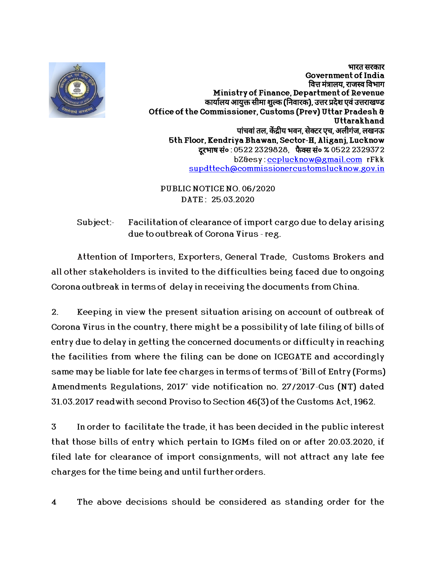

भारत सरकार Government of India वित्त मंत्रालय. राजस्व विभाग Ministry of Finance,Department of Revenue कार्यालय आयुक्त सीमा शुल्क (निवारक), उत्तर प्रदेश एवं उत्तराखण्ड Office of the Commissioner, Customs (Prev) Uttar Pradesh & Uttarakhand पांचवां तल, केंद्रीय भवन, सेक्टर एच, अलीगंज, लखनऊ 5th Floor, Kendriya Bhawan, Sector-H, Aliganj, Lucknow दरभाष सं० : 0522 2329828, फैक्स सं० % 0522 2329372 bZ&esy: ccplucknow@gmail.com rFkk supdttech@commissionercustomslucknow.gov.in

PUBLIC NOTICE NO. 06/2020 DATE : 25.03.2020

Subject: Facilitation of clearance of import cargo due to delay arising due to outbreak of Corona Virus - reg.

Attention of Importers, Exporters, General Trade, Customs Brokers and all other stakeholders is invited to the difficulties being faced due to ongoing Corona outbreak in terms of delay in receiving the documents from China.

2. Keeping in view the present situation arising on account of outbreak of Corona Virus in the country, there might be a possibility of late filing of bills of entry due to delay in getting the concerned documents or difficulty in reaching the facilities from where the filing can be done on ICEGATE and accordingly same may be liable for late fee charges in terms of terms of 'Bill of Entry (Forms) Amendments Regulations, 2017' vide notification no. 27/2017-Cus (NT) dated 31.03.2017 readwith second Proviso to Section 46(3) of the Customs Act, 1962.

3 In order to facilitate the trade, it has been decided in the public interest that those bills of entry which pertain to IGMs filed on or after 20.03.2020, if filed late for clearance of import consignments, will not attract any late fee charges for the time being and until further orders.<br>4 The above decisions should be considered as standing order for the